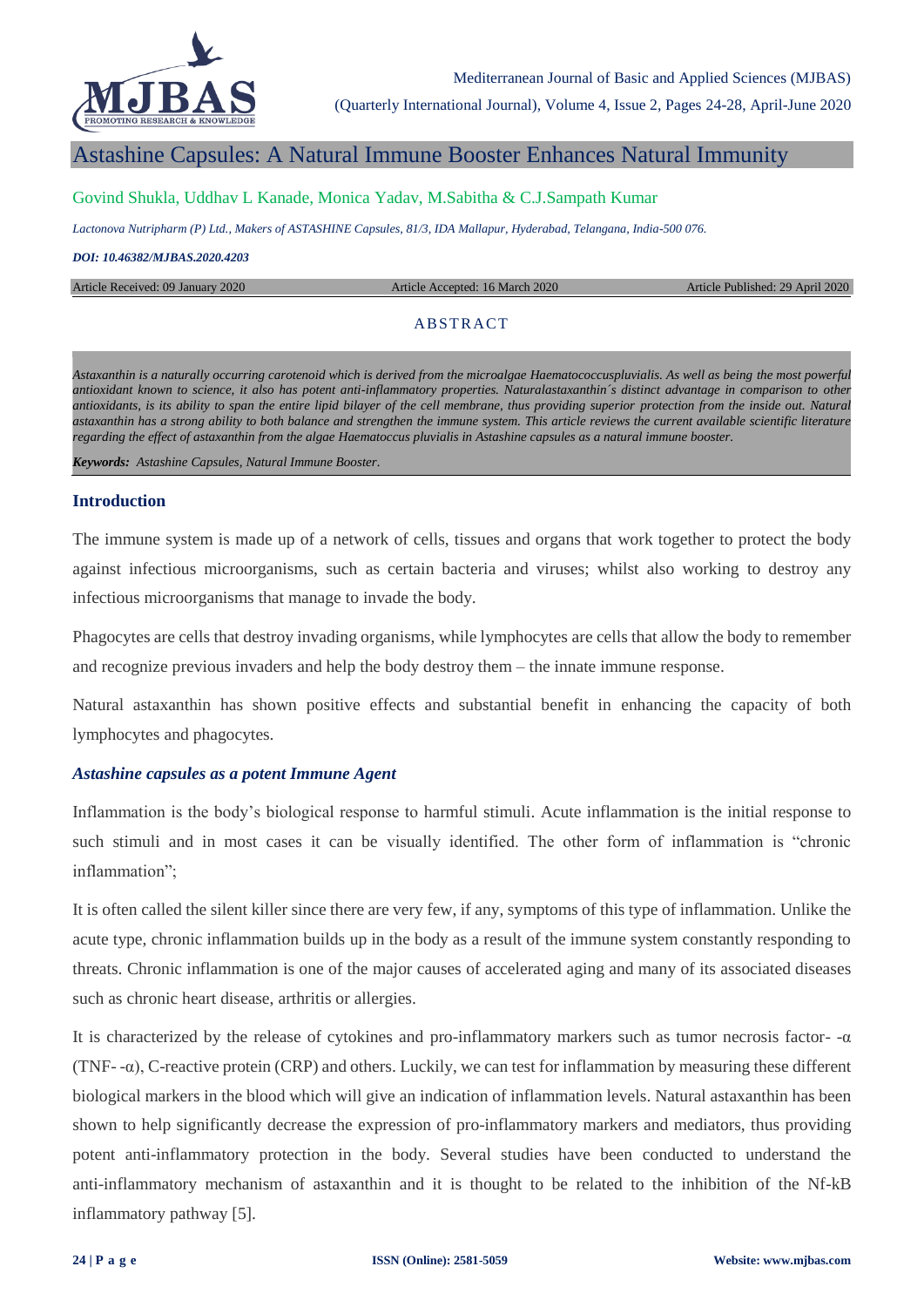

(Quarterly International Journal), Volume 4, Issue 2, Pages 24-28, April-June 2020

## Astashine Capsules: A Natural Immune Booster Enhances Natural Immunity

#### Govind Shukla, Uddhav L Kanade, Monica Yadav, M.Sabitha & C.J.Sampath Kumar

*Lactonova Nutripharm (P) Ltd., Makers of ASTASHINE Capsules, 81/3, IDA Mallapur, Hyderabad, Telangana, India-500 076.*

#### *DOI: 10.46382/MJBAS.2020.4203*

Article Received: 09 January 2020 Article Accepted: 16 March 2020 Article Published: 29 April 2020

#### **ABSTRACT**

*Astaxanthin is a naturally occurring carotenoid which is derived from the microalgae Haematococcuspluvialis. As well as being the most powerful antioxidant known to science, it also has potent anti-inflammatory properties. Naturalastaxanthin´s distinct advantage in comparison to other antioxidants, is its ability to span the entire lipid bilayer of the cell membrane, thus providing superior protection from the inside out. Natural astaxanthin has a strong ability to both balance and strengthen the immune system. This article reviews the current available scientific literature regarding the effect of astaxanthin from the algae Haematoccus pluvialis in Astashine capsules as a natural immune booster.*

*Keywords: Astashine Capsules, Natural Immune Booster.*

#### **Introduction**

The immune system is made up of a network of cells, tissues and organs that work together to protect the body against infectious microorganisms, such as certain bacteria and viruses; whilst also working to destroy any infectious microorganisms that manage to invade the body.

Phagocytes are cells that destroy invading organisms, while lymphocytes are cells that allow the body to remember and recognize previous invaders and help the body destroy them – the innate immune response.

Natural astaxanthin has shown positive effects and substantial benefit in enhancing the capacity of both lymphocytes and phagocytes.

#### *Astashine capsules as a potent Immune Agent*

Inflammation is the body's biological response to harmful stimuli. Acute inflammation is the initial response to such stimuli and in most cases it can be visually identified. The other form of inflammation is "chronic inflammation";

It is often called the silent killer since there are very few, if any, symptoms of this type of inflammation. Unlike the acute type, chronic inflammation builds up in the body as a result of the immune system constantly responding to threats. Chronic inflammation is one of the major causes of accelerated aging and many of its associated diseases such as chronic heart disease, arthritis or allergies.

It is characterized by the release of cytokines and pro-inflammatory markers such as tumor necrosis factor- $-\alpha$ (TNF- -α), C-reactive protein (CRP) and others. Luckily, we can test for inflammation by measuring these different biological markers in the blood which will give an indication of inflammation levels. Natural astaxanthin has been shown to help significantly decrease the expression of pro-inflammatory markers and mediators, thus providing potent anti-inflammatory protection in the body. Several studies have been conducted to understand the anti-inflammatory mechanism of astaxanthin and it is thought to be related to the inhibition of the Nf-kB inflammatory pathway [5].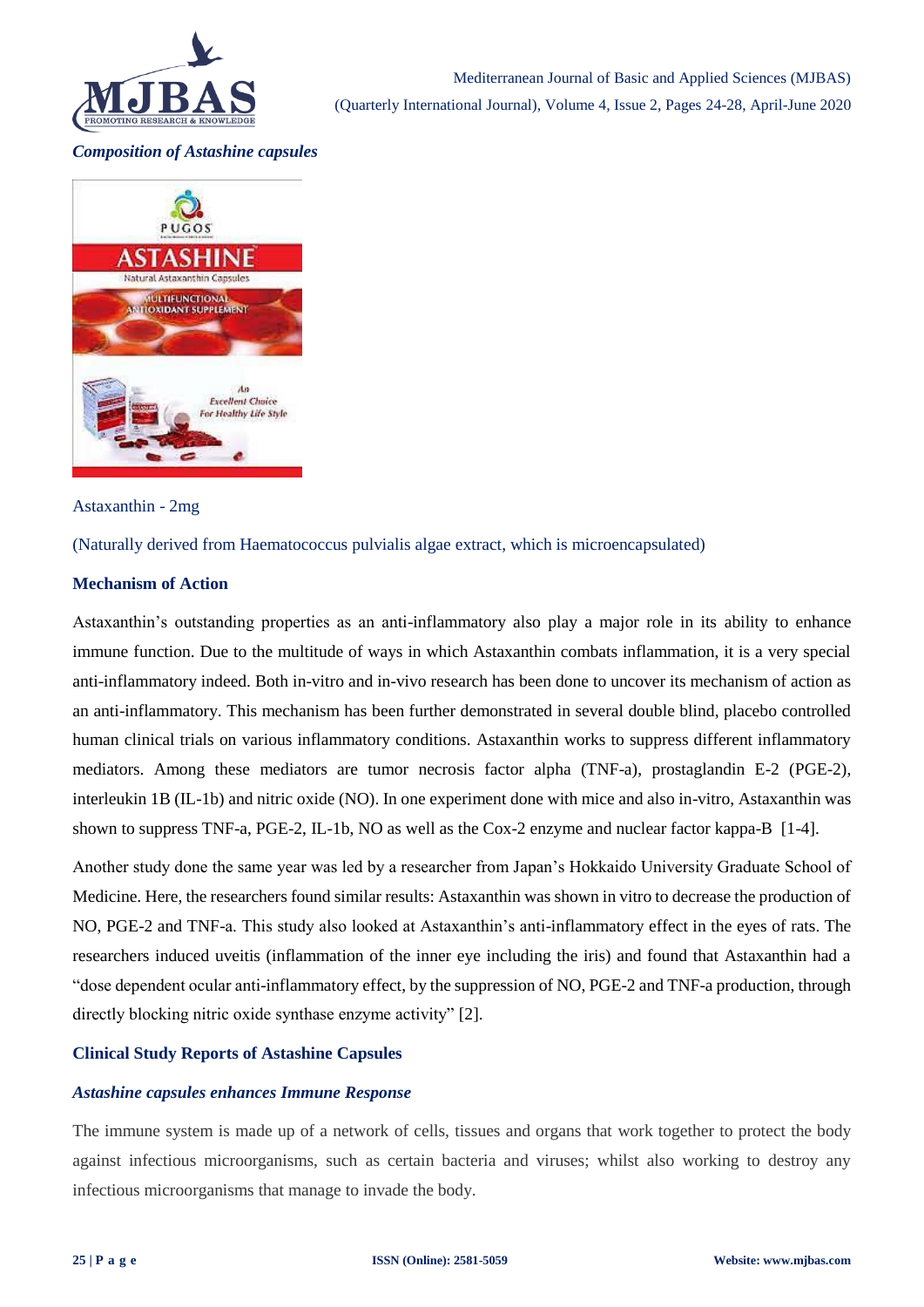

### *Composition of Astashine capsules*



#### Astaxanthin - 2mg

(Naturally derived from Haematococcus pulvialis algae extract, which is microencapsulated)

#### **Mechanism of Action**

Astaxanthin's outstanding properties as an anti-inflammatory also play a major role in its ability to enhance immune function. Due to the multitude of ways in which Astaxanthin combats inflammation, it is a very special anti-inflammatory indeed. Both in-vitro and in-vivo research has been done to uncover its mechanism of action as an anti-inflammatory. This mechanism has been further demonstrated in several double blind, placebo controlled human clinical trials on various inflammatory conditions. Astaxanthin works to suppress different inflammatory mediators. Among these mediators are tumor necrosis factor alpha (TNF-a), prostaglandin E-2 (PGE-2), interleukin 1B (IL-1b) and nitric oxide (NO). In one experiment done with mice and also in-vitro, Astaxanthin was shown to suppress TNF-a, PGE-2, IL-1b, NO as well as the Cox-2 enzyme and nuclear factor kappa-B [1-4].

Another study done the same year was led by a researcher from Japan's Hokkaido University Graduate School of Medicine. Here, the researchers found similar results: Astaxanthin was shown in vitro to decrease the production of NO, PGE-2 and TNF-a. This study also looked at Astaxanthin's anti-inflammatory effect in the eyes of rats. The researchers induced uveitis (inflammation of the inner eye including the iris) and found that Astaxanthin had a "dose dependent ocular anti-inflammatory effect, by the suppression of NO, PGE-2 and TNF-a production, through directly blocking nitric oxide synthase enzyme activity" [2].

### **Clinical Study Reports of Astashine Capsules**

### *Astashine capsules enhances Immune Response*

The immune system is made up of a network of cells, tissues and organs that work together to protect the body against infectious microorganisms, such as certain bacteria and viruses; whilst also working to destroy any infectious microorganisms that manage to invade the body.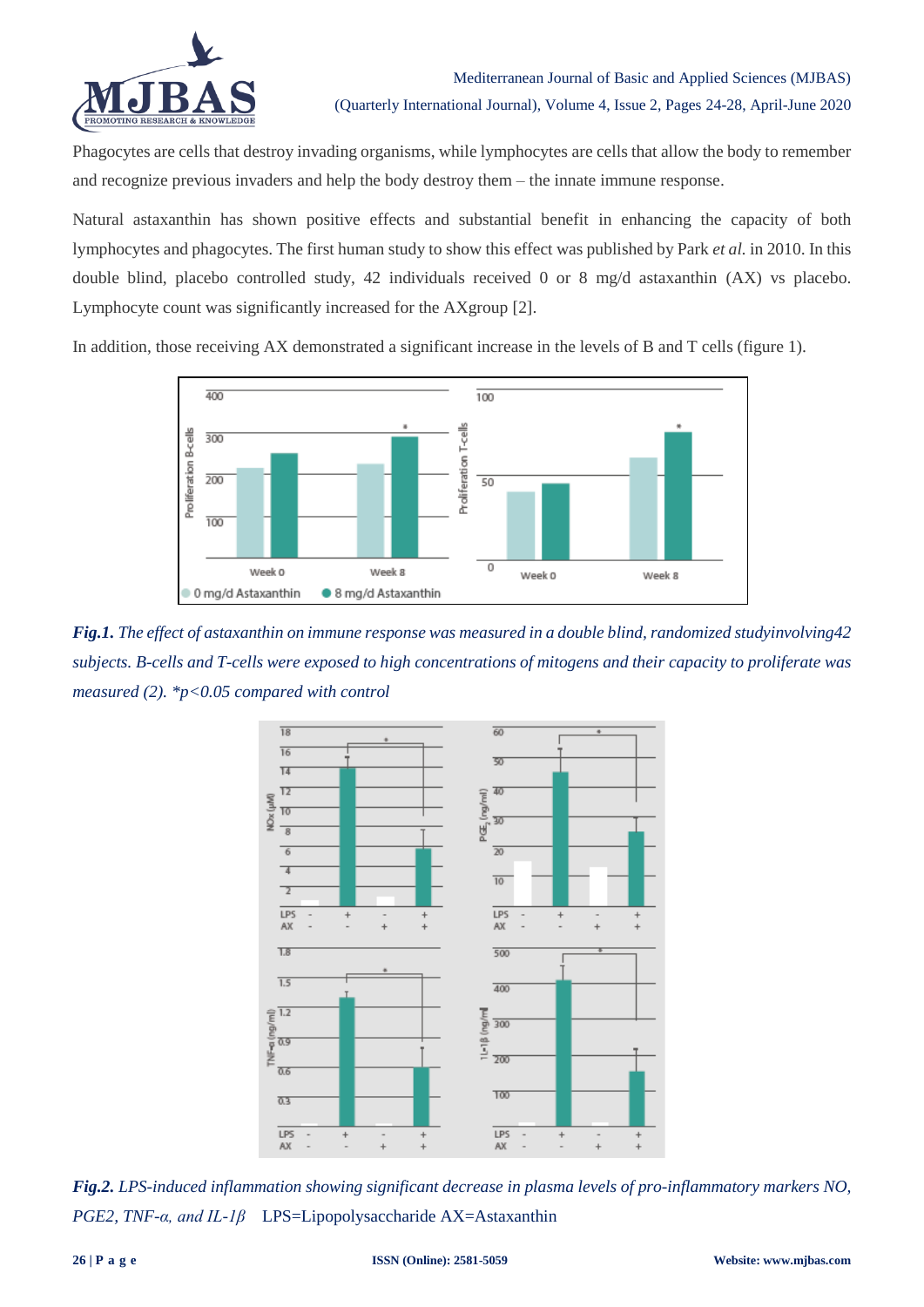

Phagocytes are cells that destroy invading organisms, while lymphocytes are cells that allow the body to remember and recognize previous invaders and help the body destroy them – the innate immune response.

Natural astaxanthin has shown positive effects and substantial benefit in enhancing the capacity of both lymphocytes and phagocytes. The first human study to show this effect was published by Park *et al.* in 2010. In this double blind, placebo controlled study, 42 individuals received 0 or 8 mg/d astaxanthin (AX) vs placebo. Lymphocyte count was significantly increased for the AXgroup [2].

In addition, those receiving AX demonstrated a significant increase in the levels of B and T cells (figure 1).



*Fig.1. The effect of astaxanthin on immune response was measured in a double blind, randomized studyinvolving42 subjects. B-cells and T-cells were exposed to high concentrations of mitogens and their capacity to proliferate was measured (2). \*p<0.05 compared with control*



*Fig.2. LPS-induced inflammation showing significant decrease in plasma levels of pro-inflammatory markers NO, PGE2, TNF-α, and IL-1β* LPS=Lipopolysaccharide AX=Astaxanthin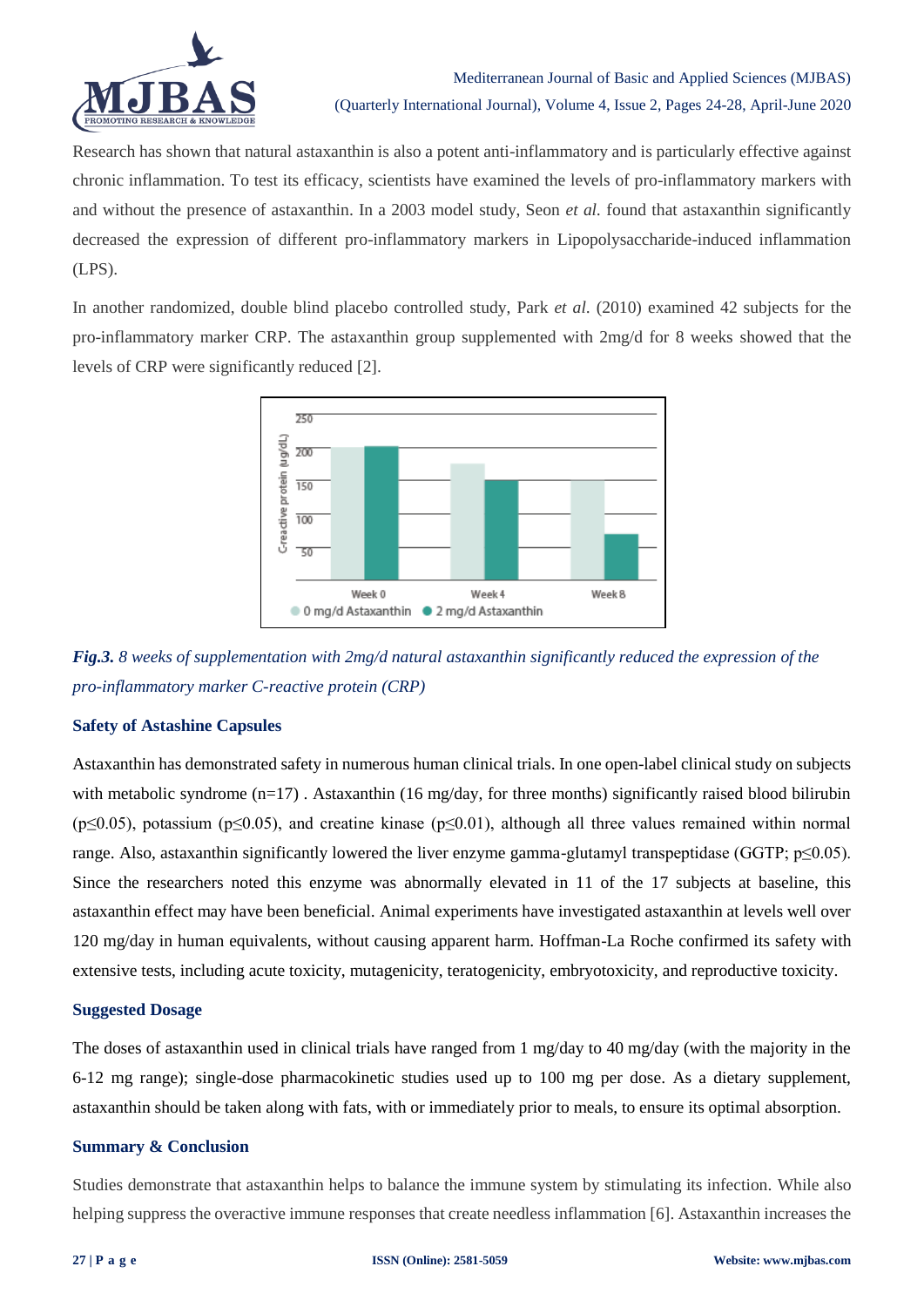

Research has shown that natural astaxanthin is also a potent anti-inflammatory and is particularly effective against chronic inflammation. To test its efficacy, scientists have examined the levels of pro-inflammatory markers with and without the presence of astaxanthin. In a 2003 model study, Seon *et al.* found that astaxanthin significantly decreased the expression of different pro-inflammatory markers in Lipopolysaccharide-induced inflammation (LPS).

In another randomized, double blind placebo controlled study, Park *et al*. (2010) examined 42 subjects for the pro-inflammatory marker CRP. The astaxanthin group supplemented with 2mg/d for 8 weeks showed that the levels of CRP were significantly reduced [2].



*Fig.3. 8 weeks of supplementation with 2mg/d natural astaxanthin significantly reduced the expression of the pro-inflammatory marker C-reactive protein (CRP)*

### **Safety of Astashine Capsules**

Astaxanthin has demonstrated safety in numerous human clinical trials. In one open-label clinical study on subjects with metabolic syndrome (n=17). Astaxanthin (16 mg/day, for three months) significantly raised blood bilirubin (p≤0.05), potassium (p≤0.05), and creatine kinase (p≤0.01), although all three values remained within normal range. Also, astaxanthin significantly lowered the liver enzyme gamma-glutamyl transpeptidase (GGTP; p≤0.05). Since the researchers noted this enzyme was abnormally elevated in 11 of the 17 subjects at baseline, this astaxanthin effect may have been beneficial. Animal experiments have investigated astaxanthin at levels well over 120 mg/day in human equivalents, without causing apparent harm. Hoffman-La Roche confirmed its safety with extensive tests, including acute toxicity, mutagenicity, teratogenicity, embryotoxicity, and reproductive toxicity.

### **Suggested Dosage**

The doses of astaxanthin used in clinical trials have ranged from 1 mg/day to 40 mg/day (with the majority in the 6-12 mg range); single-dose pharmacokinetic studies used up to 100 mg per dose. As a dietary supplement, astaxanthin should be taken along with fats, with or immediately prior to meals, to ensure its optimal absorption.

### **Summary & Conclusion**

Studies demonstrate that astaxanthin helps to balance the immune system by stimulating its infection. While also helping suppress the overactive immune responses that create needless inflammation [6]. Astaxanthin increases the